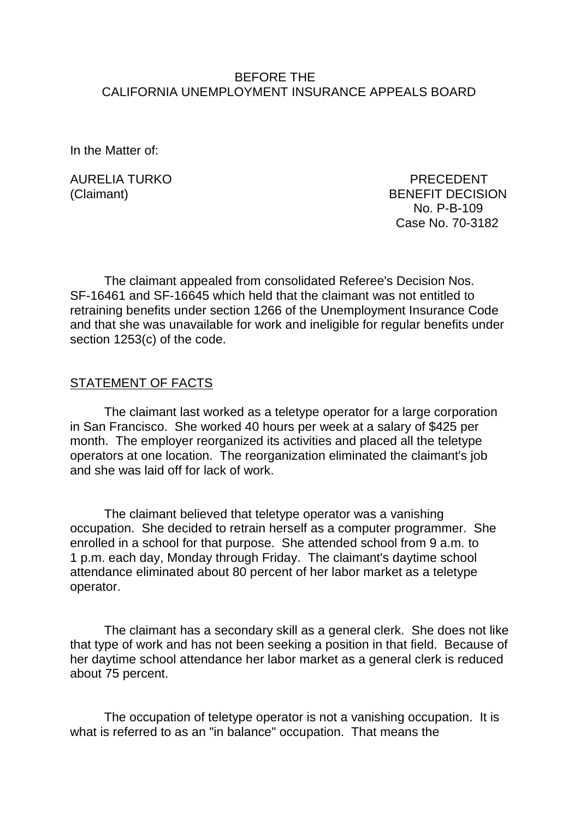## BEFORE THE CALIFORNIA UNEMPLOYMENT INSURANCE APPEALS BOARD

In the Matter of:

AURELIA TURKO PRECEDENT

(Claimant) BENEFIT DECISION No. P-B-109 Case No. 70-3182

The claimant appealed from consolidated Referee's Decision Nos. SF-16461 and SF-16645 which held that the claimant was not entitled to retraining benefits under section 1266 of the Unemployment Insurance Code and that she was unavailable for work and ineligible for regular benefits under section 1253(c) of the code.

#### STATEMENT OF FACTS

The claimant last worked as a teletype operator for a large corporation in San Francisco. She worked 40 hours per week at a salary of \$425 per month. The employer reorganized its activities and placed all the teletype operators at one location. The reorganization eliminated the claimant's job and she was laid off for lack of work.

The claimant believed that teletype operator was a vanishing occupation. She decided to retrain herself as a computer programmer. She enrolled in a school for that purpose. She attended school from 9 a.m. to 1 p.m. each day, Monday through Friday. The claimant's daytime school attendance eliminated about 80 percent of her labor market as a teletype operator.

The claimant has a secondary skill as a general clerk. She does not like that type of work and has not been seeking a position in that field. Because of her daytime school attendance her labor market as a general clerk is reduced about 75 percent.

The occupation of teletype operator is not a vanishing occupation. It is what is referred to as an "in balance" occupation. That means the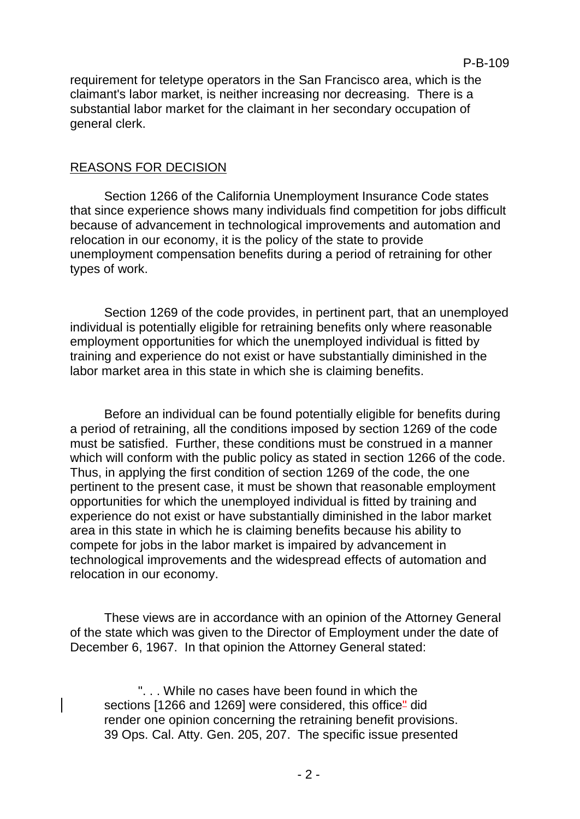requirement for teletype operators in the San Francisco area, which is the claimant's labor market, is neither increasing nor decreasing. There is a substantial labor market for the claimant in her secondary occupation of general clerk.

## REASONS FOR DECISION

Section 1266 of the California Unemployment Insurance Code states that since experience shows many individuals find competition for jobs difficult because of advancement in technological improvements and automation and relocation in our economy, it is the policy of the state to provide unemployment compensation benefits during a period of retraining for other types of work.

Section 1269 of the code provides, in pertinent part, that an unemployed individual is potentially eligible for retraining benefits only where reasonable employment opportunities for which the unemployed individual is fitted by training and experience do not exist or have substantially diminished in the labor market area in this state in which she is claiming benefits.

Before an individual can be found potentially eligible for benefits during a period of retraining, all the conditions imposed by section 1269 of the code must be satisfied. Further, these conditions must be construed in a manner which will conform with the public policy as stated in section 1266 of the code. Thus, in applying the first condition of section 1269 of the code, the one pertinent to the present case, it must be shown that reasonable employment opportunities for which the unemployed individual is fitted by training and experience do not exist or have substantially diminished in the labor market area in this state in which he is claiming benefits because his ability to compete for jobs in the labor market is impaired by advancement in technological improvements and the widespread effects of automation and relocation in our economy.

These views are in accordance with an opinion of the Attorney General of the state which was given to the Director of Employment under the date of December 6, 1967. In that opinion the Attorney General stated:

". . . While no cases have been found in which the sections [1266 and 1269] were considered, this office<sup>"</sup> did render one opinion concerning the retraining benefit provisions. 39 Ops. Cal. Atty. Gen. 205, 207. The specific issue presented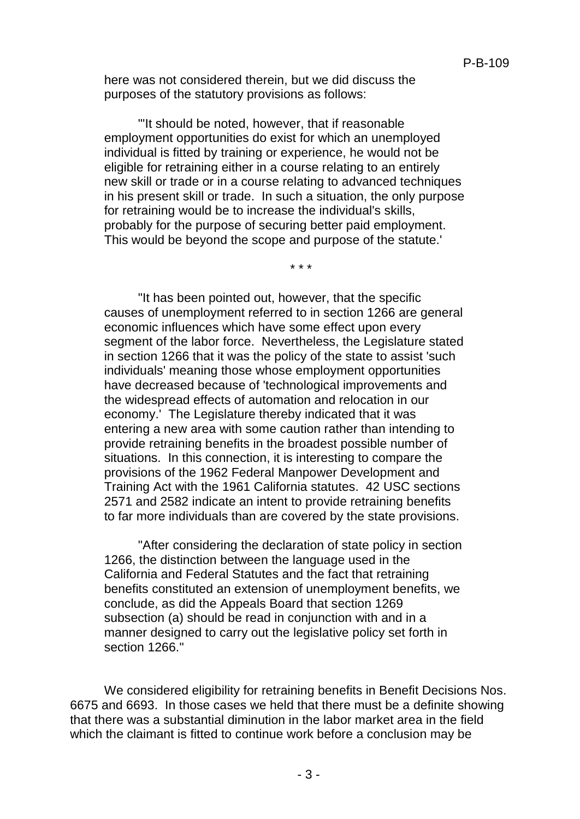here was not considered therein, but we did discuss the purposes of the statutory provisions as follows:

"'It should be noted, however, that if reasonable employment opportunities do exist for which an unemployed individual is fitted by training or experience, he would not be eligible for retraining either in a course relating to an entirely new skill or trade or in a course relating to advanced techniques in his present skill or trade. In such a situation, the only purpose for retraining would be to increase the individual's skills, probably for the purpose of securing better paid employment. This would be beyond the scope and purpose of the statute.'

\* \* \*

"It has been pointed out, however, that the specific causes of unemployment referred to in section 1266 are general economic influences which have some effect upon every segment of the labor force. Nevertheless, the Legislature stated in section 1266 that it was the policy of the state to assist 'such individuals' meaning those whose employment opportunities have decreased because of 'technological improvements and the widespread effects of automation and relocation in our economy.' The Legislature thereby indicated that it was entering a new area with some caution rather than intending to provide retraining benefits in the broadest possible number of situations. In this connection, it is interesting to compare the provisions of the 1962 Federal Manpower Development and Training Act with the 1961 California statutes. 42 USC sections 2571 and 2582 indicate an intent to provide retraining benefits to far more individuals than are covered by the state provisions.

"After considering the declaration of state policy in section 1266, the distinction between the language used in the California and Federal Statutes and the fact that retraining benefits constituted an extension of unemployment benefits, we conclude, as did the Appeals Board that section 1269 subsection (a) should be read in conjunction with and in a manner designed to carry out the legislative policy set forth in section 1266."

We considered eligibility for retraining benefits in Benefit Decisions Nos. 6675 and 6693. In those cases we held that there must be a definite showing that there was a substantial diminution in the labor market area in the field which the claimant is fitted to continue work before a conclusion may be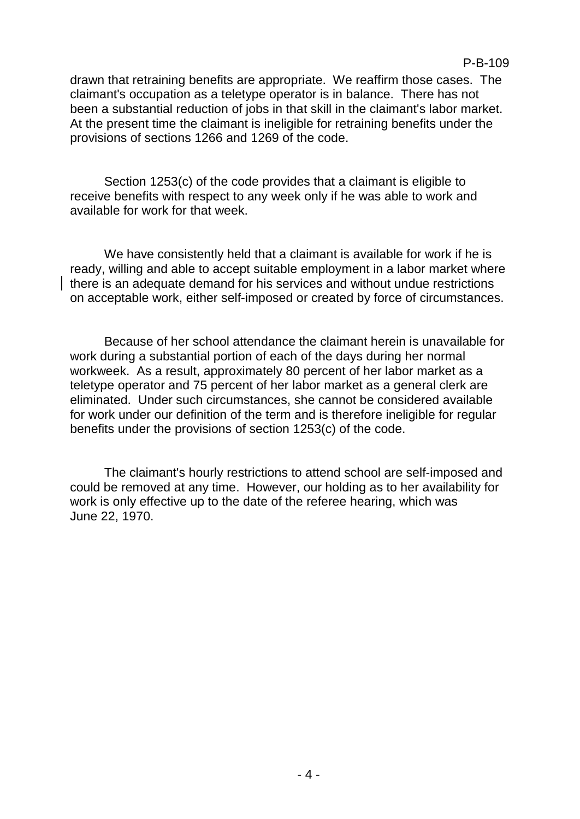#### P-B-109

drawn that retraining benefits are appropriate. We reaffirm those cases. The claimant's occupation as a teletype operator is in balance. There has not been a substantial reduction of jobs in that skill in the claimant's labor market. At the present time the claimant is ineligible for retraining benefits under the provisions of sections 1266 and 1269 of the code.

Section 1253(c) of the code provides that a claimant is eligible to receive benefits with respect to any week only if he was able to work and available for work for that week.

We have consistently held that a claimant is available for work if he is ready, willing and able to accept suitable employment in a labor market where there is an adequate demand for his services and without undue restrictions on acceptable work, either self-imposed or created by force of circumstances.

Because of her school attendance the claimant herein is unavailable for work during a substantial portion of each of the days during her normal workweek. As a result, approximately 80 percent of her labor market as a teletype operator and 75 percent of her labor market as a general clerk are eliminated. Under such circumstances, she cannot be considered available for work under our definition of the term and is therefore ineligible for regular benefits under the provisions of section 1253(c) of the code.

The claimant's hourly restrictions to attend school are self-imposed and could be removed at any time. However, our holding as to her availability for work is only effective up to the date of the referee hearing, which was June 22, 1970.